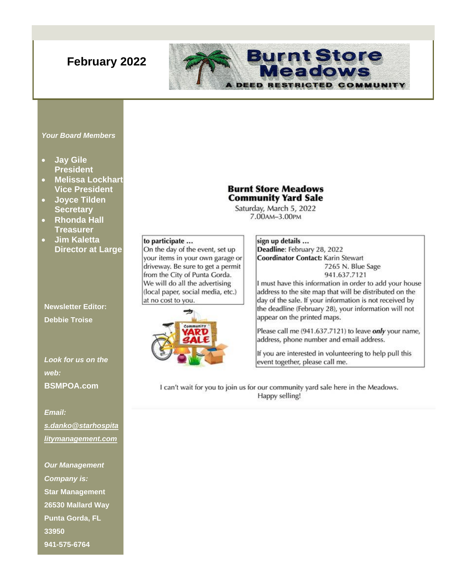# **February 2022**

#### **Burnt Store** eadows  $P = E P$ **FRICTED IMUNITY**

#### *Your Board Members*

- **Jay Gile President**
- **Melissa Lockhart Vice President**
- **Joyce Tilden Secretary**
- **Rhonda Hall Treasurer**
- **Jim Kaletta Director at Large**

# **Newsletter Editor: Debbie Troise**

*Look for us on the web:* **BSMPOA.com**

*Email: [s.danko@starhospita](mailto:s.danko@starhospitalitymanagement.com) [litymanagement.com](mailto:s.danko@starhospitalitymanagement.com)*

*Our Management Company is:* **Star Management 26530 Mallard Way Punta Gorda, FL 33950 941-575-6764**

## **Burnt Store Meadows Community Yard Sale**

Saturday, March 5, 2022 7.00AM-3.00PM

#### to participate ...

On the day of the event, set up your items in your own garage or driveway. Be sure to get a permit from the City of Punta Gorda. We will do all the advertising (local paper, social media, etc.) at no cost to you.



#### sign up details ... Deadline: February 28, 2022 **Coordinator Contact: Karin Stewart** 7265 N. Blue Sage 941.637.7121

I must have this information in order to add your house address to the site map that will be distributed on the day of the sale. If your information is not received by the deadline (February 28), your information will not appear on the printed maps.

Please call me (941.637.7121) to leave only your name, address, phone number and email address.

If you are interested in volunteering to help pull this event together, please call me.

I can't wait for you to join us for our community yard sale here in the Meadows. Happy selling!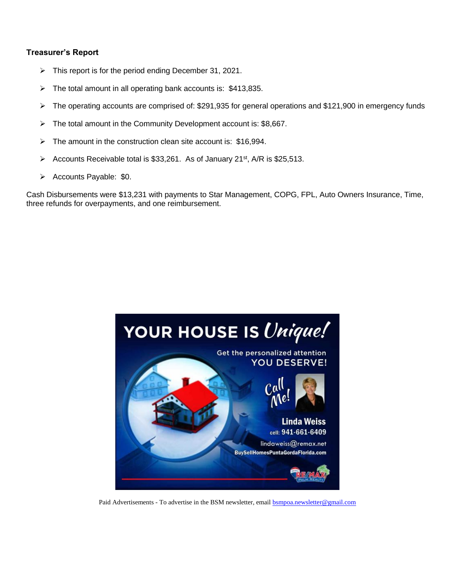#### **Treasurer's Report**

- ➢ This report is for the period ending December 31, 2021.
- $\triangleright$  The total amount in all operating bank accounts is: \$413,835.
- ➢ The operating accounts are comprised of: \$291,935 for general operations and \$121,900 in emergency funds
- $\triangleright$  The total amount in the Community Development account is: \$8,667.
- $\triangleright$  The amount in the construction clean site account is: \$16,994.
- Accounts Receivable total is \$33,261. As of January  $21^{st}$ , A/R is \$25,513.
- ➢ Accounts Payable: \$0.

Cash Disbursements were \$13,231 with payments to Star Management, COPG, FPL, Auto Owners Insurance, Time, three refunds for overpayments, and one reimbursement.



Paid Advertisements - To advertise in the BSM newsletter, email [bsmpoa.newsletter@gmail.com](mailto:bsmpoa.newsletter@gmail.com)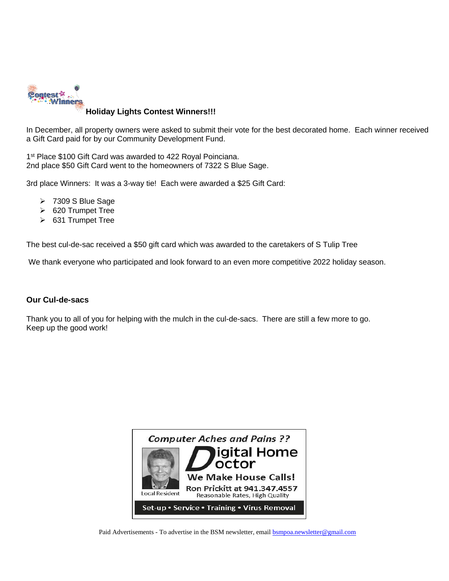

#### **Holiday Lights Contest Winners!!!**

In December, all property owners were asked to submit their vote for the best decorated home. Each winner received a Gift Card paid for by our Community Development Fund.

1<sup>st</sup> [Place](https://creativecommons.org/licenses/by/3.0/) \$100 Gift Card was awarded to 422 Royal Poinciana. 2nd place \$50 Gift Card went to the homeowners of 7322 S Blue Sage.

3rd place Winners: It was a 3-way tie! Each were awarded a \$25 Gift Card:

- ➢ 7309 S Blue Sage
- ➢ 620 Trumpet Tree
- ➢ 631 Trumpet Tree

The best cul-de-sac received a \$50 gift card which was awarded to the caretakers of S Tulip Tree

We thank everyone who participated and look forward to an even more competitive 2022 holiday season.

#### **Our Cul-de-sacs**

Thank you to all of you for helping with the mulch in the cul-de-sacs. There are still a few more to go. Keep up the good work!



Paid Advertisements - To advertise in the BSM newsletter, email **bsmpoa.newsletter@gmail.com**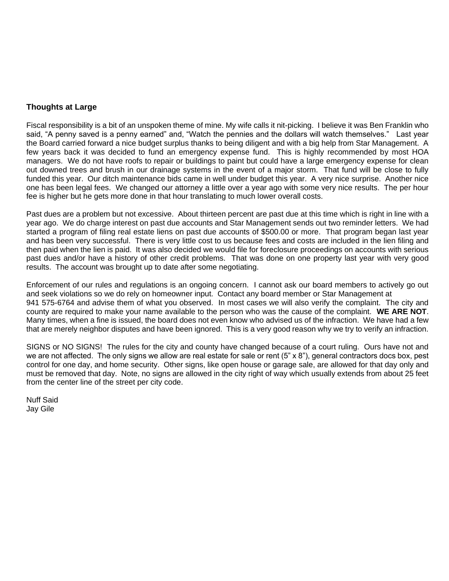## **Thoughts at Large**

Fiscal responsibility is a bit of an unspoken theme of mine. My wife calls it nit-picking. I believe it was Ben Franklin who said, "A penny saved is a penny earned" and, "Watch the pennies and the dollars will watch themselves." Last year the Board carried forward a nice budget surplus thanks to being diligent and with a big help from Star Management. A few years back it was decided to fund an emergency expense fund. This is highly recommended by most HOA managers. We do not have roofs to repair or buildings to paint but could have a large emergency expense for clean out downed trees and brush in our drainage systems in the event of a major storm. That fund will be close to fully funded this year. Our ditch maintenance bids came in well under budget this year. A very nice surprise. Another nice one has been legal fees. We changed our attorney a little over a year ago with some very nice results. The per hour fee is higher but he gets more done in that hour translating to much lower overall costs.

Past dues are a problem but not excessive. About thirteen percent are past due at this time which is right in line with a year ago. We do charge interest on past due accounts and Star Management sends out two reminder letters. We had started a program of filing real estate liens on past due accounts of \$500.00 or more. That program began last year and has been very successful. There is very little cost to us because fees and costs are included in the lien filing and then paid when the lien is paid. It was also decided we would file for foreclosure proceedings on accounts with serious past dues and/or have a history of other credit problems. That was done on one property last year with very good results. The account was brought up to date after some negotiating.

Enforcement of our rules and regulations is an ongoing concern. I cannot ask our board members to actively go out and seek violations so we do rely on homeowner input. Contact any board member or Star Management at 941 575-6764 and advise them of what you observed. In most cases we will also verify the complaint. The city and county are required to make your name available to the person who was the cause of the complaint. **WE ARE NOT**. Many times, when a fine is issued, the board does not even know who advised us of the infraction. We have had a few that are merely neighbor disputes and have been ignored. This is a very good reason why we try to verify an infraction.

SIGNS or NO SIGNS! The rules for the city and county have changed because of a court ruling. Ours have not and we are not affected. The only signs we allow are real estate for sale or rent (5" x 8"), general contractors docs box, pest control for one day, and home security. Other signs, like open house or garage sale, are allowed for that day only and must be removed that day. Note, no signs are allowed in the city right of way which usually extends from about 25 feet from the center line of the street per city code.

Nuff Said Jay Gile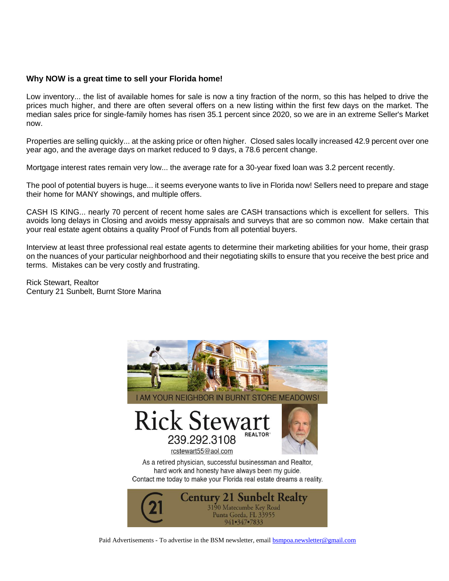#### **Why NOW is a great time to sell your Florida home!**

Low inventory... the list of available homes for sale is now a tiny fraction of the norm, so this has helped to drive the prices much higher, and there are often several offers on a new listing within the first few days on the market. The median sales price for single-family homes has risen 35.1 percent since 2020, so we are in an extreme Seller's Market now.

Properties are selling quickly... at the asking price or often higher. Closed sales locally increased 42.9 percent over one year ago, and the average days on market reduced to 9 days, a 78.6 percent change.

Mortgage interest rates remain very low... the average rate for a 30-year fixed loan was 3.2 percent recently.

The pool of potential buyers is huge... it seems everyone wants to live in Florida now! Sellers need to prepare and stage their home for MANY showings, and multiple offers.

CASH IS KING... nearly 70 percent of recent home sales are CASH transactions which is excellent for sellers. This avoids long delays in Closing and avoids messy appraisals and surveys that are so common now. Make certain that your real estate agent obtains a quality Proof of Funds from all potential buyers.

Interview at least three professional real estate agents to determine their marketing abilities for your home, their grasp on the nuances of your particular neighborhood and their negotiating skills to ensure that you receive the best price and terms. Mistakes can be very costly and frustrating.

Rick Stewart, Realtor Century 21 Sunbelt, Burnt Store Marina



Paid Advertisements - To advertise in the BSM newsletter, email [bsmpoa.newsletter@gmail.com](mailto:bsmpoa.newsletter@gmail.com)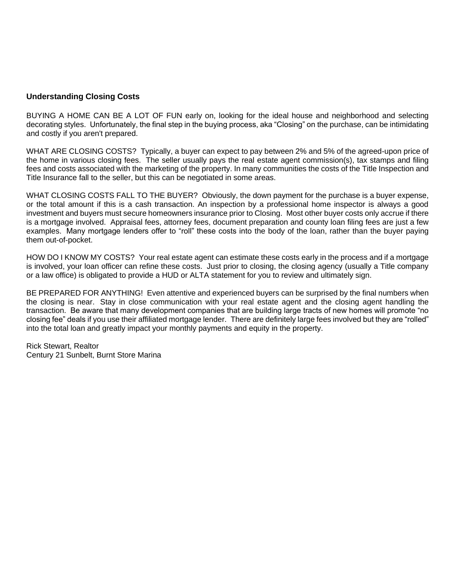#### **Understanding Closing Costs**

BUYING A HOME CAN BE A LOT OF FUN early on, looking for the ideal house and neighborhood and selecting decorating styles. Unfortunately, the final step in the buying process, aka "Closing" on the purchase, can be intimidating and costly if you aren't prepared.

WHAT ARE CLOSING COSTS? Typically, a buyer can expect to pay between 2% and 5% of the agreed-upon price of the home in various closing fees. The seller usually pays the real estate agent commission(s), tax stamps and filing fees and costs associated with the marketing of the property. In many communities the costs of the Title Inspection and Title Insurance fall to the seller, but this can be negotiated in some areas.

WHAT CLOSING COSTS FALL TO THE BUYER? Obviously, the down payment for the purchase is a buyer expense, or the total amount if this is a cash transaction. An inspection by a professional home inspector is always a good investment and buyers must secure homeowners insurance prior to Closing. Most other buyer costs only accrue if there is a mortgage involved. Appraisal fees, attorney fees, document preparation and county loan filing fees are just a few examples. Many mortgage lenders offer to "roll" these costs into the body of the loan, rather than the buyer paying them out-of-pocket.

HOW DO I KNOW MY COSTS? Your real estate agent can estimate these costs early in the process and if a mortgage is involved, your loan officer can refine these costs. Just prior to closing, the closing agency (usually a Title company or a law office) is obligated to provide a HUD or ALTA statement for you to review and ultimately sign.

BE PREPARED FOR ANYTHING! Even attentive and experienced buyers can be surprised by the final numbers when the closing is near. Stay in close communication with your real estate agent and the closing agent handling the transaction. Be aware that many development companies that are building large tracts of new homes will promote "no closing fee" deals if you use their affiliated mortgage lender. There are definitely large fees involved but they are "rolled" into the total loan and greatly impact your monthly payments and equity in the property.

Rick Stewart, Realtor Century 21 Sunbelt, Burnt Store Marina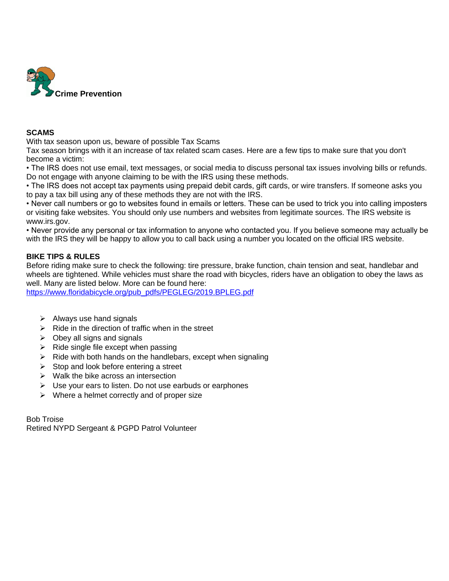

#### **SCAMS**

With tax season upon us, beware of possible Tax Scams

Tax season brings with it an increase of tax related scam cases. Here are a few tips to make sure that you don't become a victim:

• The IRS does not use email, text messages, or social media to discuss personal tax issues involving bills or refunds. Do not engage with anyone claiming to be with the IRS using these methods.

• The IRS does not accept tax payments using prepaid debit cards, gift cards, or wire transfers. If someone asks you to pay a tax bill using any of these methods they are not with the IRS.

• Never call numbers or go to websites found in emails or letters. These can be used to trick you into calling imposters or visiting fake websites. You should only use numbers and websites from legitimate sources. The IRS website is www.irs.gov.

• Never provide any personal or tax information to anyone who contacted you. If you believe someone may actually be with the IRS they will be happy to allow you to call back using a number you located on the official IRS website.

## **BIKE TIPS & RULES**

Before riding make sure to check the following: tire pressure, brake function, chain tension and seat, handlebar and wheels are tightened. While vehicles must share the road with bicycles, riders have an obligation to obey the laws as well. Many are listed below. More can be found here:

[https://www.floridabicycle.org/pub\\_pdfs/PEGLEG/2019.BPLEG.pdf](https://www.floridabicycle.org/pub_pdfs/PEGLEG/2019.BPLEG.pdf)

- $\triangleright$  Always use hand signals
- $\triangleright$  Ride in the direction of traffic when in the street
- $\triangleright$  Obey all signs and signals
- $\triangleright$  Ride single file except when passing
- $\triangleright$  Ride with both hands on the handlebars, except when signaling
- $\triangleright$  Stop and look before entering a street
- $\triangleright$  Walk the bike across an intersection
- ➢ Use your ears to listen. Do not use earbuds or earphones
- $\triangleright$  Where a helmet correctly and of proper size

Bob Troise Retired NYPD Sergeant & PGPD Patrol Volunteer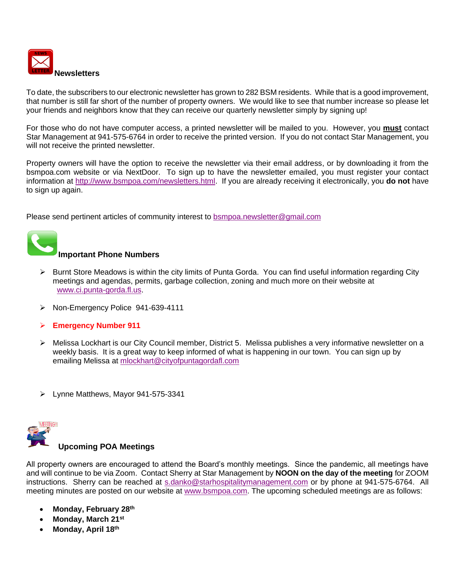

To date, the subscribers to our electronic newsletter has grown to 282 BSM residents. While that is a good improvement, that number is still far short of the number of property owners. We would like to see that number increase so please let your friends and neighbors know that they can receive our quarterly newsletter simply by signing up!

For those who do not have computer access, a printed newsletter will be mailed to you. However, you **must** contact Star Management at 941-575-6764 in order to receive the printed version. If you do not contact Star Management, you will not receive the printed newsletter.

Property owners will have the option to receive the newsletter via their email address, or by downloading it from the bsmpoa.com website or via NextDoor. To sign up to have the newsletter emailed, you must register your contact information at [http://www.bsmpoa.com/newsletters.html.](http://www.bsmpoa.com/newsletters.html) If you are already receiving it electronically, you **do not** have to sign up again.

Please send pertinent articles of community interest to [bsmpoa.newsletter@gmail.com](mailto:bsmpoa.newsletter@gmail.com)



## **Important Phone Numbers**

- [➢](https://commons.wikimedia.org/wiki/File:Phone_Shiny_Icon.svg) Burnt Store Meadows is within the city limits of Punta Gorda. You can find useful information regarding City meetings and agendas, permits, garbage collection, zoning and much more on their website at [www.ci.punta-gorda.fl.us.](http://www.ci.punta-gorda.fl.us/)
- ➢ Non-Emergency Police 941-639-4111
- ➢ **Emergency Number 911**
- [➢](https://creativecommons.org/licenses/by-sa/3.0/) Melissa Lockhart is our City Council member, District 5. Melissa publishes a very informative newsletter on a weekly basis. It is a great way to keep informed of what is happening in our town. You can sign up by emailing Melissa at [mlockhart@cityofpuntagordafl.com](mailto:mlockhart@cityofpuntagordafl.com)
- ➢ Lynne Matthews, Mayor 941-575-3341



## **Upcoming POA Meetings**

[All prop](http://connieuk.tistory.com/744)erty owners are encouraged to attend the Board's monthly meetings. Since the pandemic, all meetings have and will continue to be via Zoom. Contact Sherry at Star Management by **NOON on the day of the meeting** for ZOOM instructions. Sherry can be reached at [s.danko@starhospitalitymanagement.com](mailto:s.danko@starhospitalitymanagement.com) or by phone at 941-575-6764. All meeting minutes are posted on our website at [www.bsmpoa.com.](http://www.bsmpoa.com/) The upcoming scheduled meetings are as follows:

- **Monday, February 28th**
- **Monday, March 21st**
- [•](https://creativecommons.org/licenses/by-nc-nd/3.0/) **Monday, April 18th**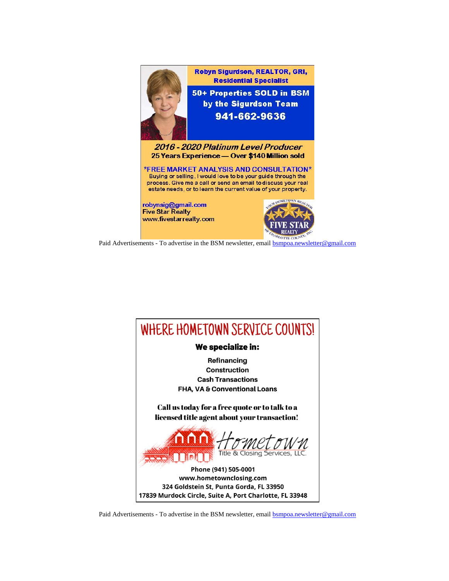

Paid Advertisements - To advertise in the BSM newsletter, email [bsmpoa.newsletter@gmail.com](mailto:bsmpoa.newsletter@gmail.com)



Paid Advertisements - To advertise in the BSM newsletter, email **bsmpoa.newsletter@gmail.com**